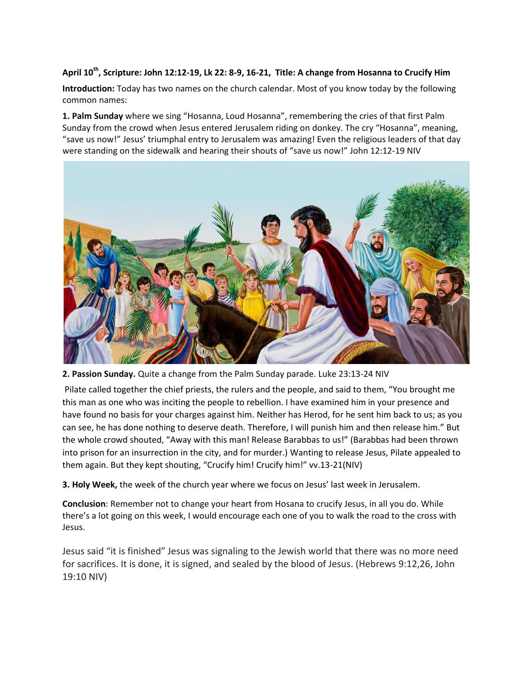## **April 10th , Scripture: [John 12:12-19,](https://www.sermoncentral.com/sermons/scripture/sermons-on-john-12-12-19?keyword=John+12%3A12-19) Lk 22: 8-9, 16-21, Title: A change from Hosanna to Crucify Him**

**Introduction:** Today has two names on the church calendar. Most of you know today by the following common names:

**1. Palm Sunday** where we sing "Hosanna, Loud Hosanna", remembering the cries of that first Palm Sunday from the crowd when Jesus entered Jerusalem riding on donkey. The cry "Hosanna", meaning, "save us now!" Jesus' triumphal entry to Jerusalem was amazing! Even the religious leaders of that day were standing on the sidewalk and hearing their shouts of "save us now!" John 12:12-19 NIV



**2. Passion Sunday.** Quite a change from the Palm Sunday parade. Luke 23:13-24 NIV

Pilate called together the chief priests, the rulers and the people, and said to them, "You brought me this man as one who was inciting the people to rebellion. I have examined him in your presence and have found no basis for your charges against him. Neither has Herod, for he sent him back to us; as you can see, he has done nothing to deserve death. Therefore, I will punish him and then release him." But the whole crowd shouted, "Away with this man! Release Barabbas to us!" (Barabbas had been thrown into prison for an insurrection in the city, and for murder.) Wanting to release Jesus, Pilate appealed to them again. But they kept shouting, "Crucify him! Crucify him!" vv.13-21(NIV)

**3. Holy Week,** the week of the church year where we focus on Jesus' last week in Jerusalem.

**Conclusion**: Remember not to change your heart from Hosana to crucify Jesus, in all you do. While there's a lot going on this week, I would encourage each one of you to walk the road to the cross with Jesus.

Jesus said "it is finished" Jesus was signaling to the Jewish world that there was no more need for sacrifices. It is done, it is signed, and sealed by the blood of Jesus. (Hebrews 9:12,26, John 19:10 NIV)